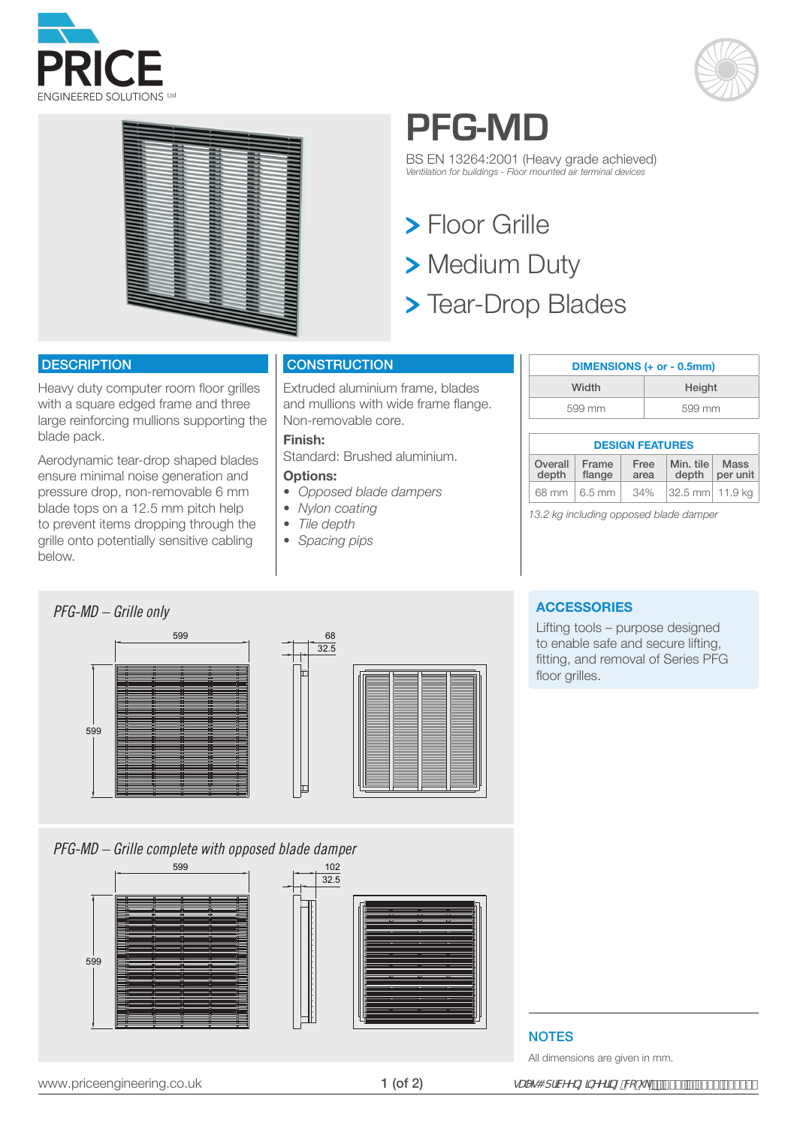





# **PFG-MD**

BS EN 13264:2001 (Heavy grade achieved) *Ventilation for buildings - Floor mounted air terminal devices*

**> Floor Grille** > Medium Duty **> Tear-Drop Blades** 

### **DESCRIPTION**

Heavy duty computer room floor grilles with a square edged frame and three large reinforcing mullions supporting the blade pack.

Aerodynamic tear-drop shaped blades ensure minimal noise generation and pressure drop, non-removable 6 mm blade tops on a 12.5 mm pitch help to prevent items dropping through the grille onto potentially sensitive cabling below.

# **CONSTRUCTION**

Extruded aluminium frame, blades and mullions with wide frame flange. Non-removable core.

### **Finish:**

Standard: Brushed aluminium.

### **Options:**

- *• Opposed blade dampers*
- *• Nylon coating*
- *• Tile depth*
- *• Spacing pips*

| DIMENSIONS (+ or - 0.5mm) |        |  |
|---------------------------|--------|--|
| Width                     | Height |  |
| 599 mm                    | 599 mm |  |

# **DESIGN FEATURES**

| Overall | Frame    | Free | Min. tile        | <b>Mass</b> |
|---------|----------|------|------------------|-------------|
| depth   | flange   | area | depth            | per unit    |
| 68 mm   | $6.5$ mm | 34%  | 32.5 mm  11.9 ka |             |

*13.2 kg including opposed blade damper*



*PFG-MD – Grille complete with opposed blade damper*



### **ACCESSORIES**

Lifting tools – purpose designed to enable safe and secure lifting, fitting, and removal of Series PFG floor grilles.

## **NOTES**

All dimensions are given in mm.